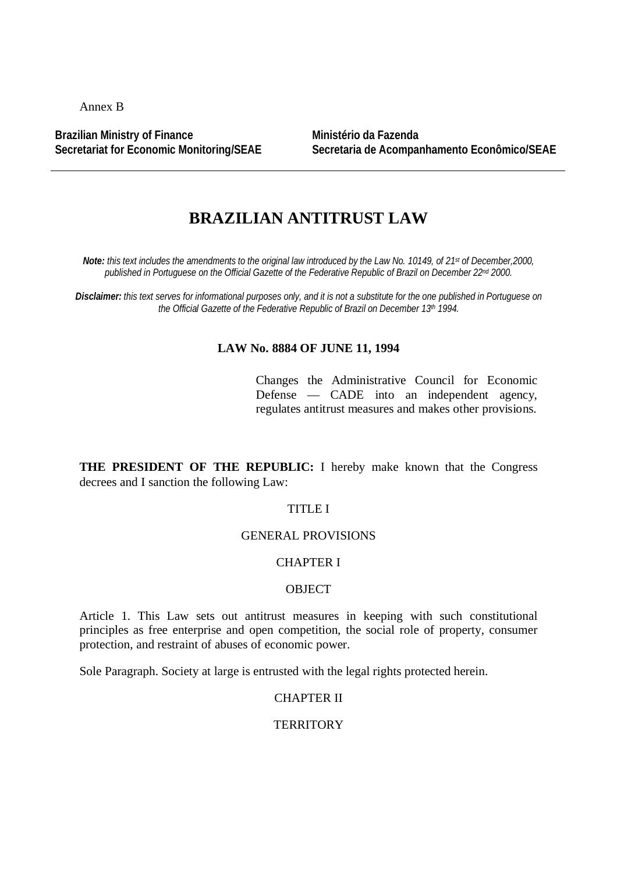Annex B

**Brazilian Ministry of Finance Secretariat for Economic Monitoring/SEAE** **Ministério da Fazenda Secretaria de Acompanhamento Econômico/SEAE**

# **BRAZILIAN ANTITRUST LAW**

*Note: this text includes the amendments to the original law introduced by the Law No. 10149, of 21st of December,2000, published in Portuguese on the Official Gazette of the Federative Republic of Brazil on December 22nd 2000.*

*Disclaimer: this text serves for informational purposes only, and it is not a substitute for the one published in Portuguese on the Official Gazette of the Federative Republic of Brazil on December 13th 1994.*

#### **LAW No. 8884 OF JUNE 11, 1994**

Changes the Administrative Council for Economic Defense — CADE into an independent agency, regulates antitrust measures and makes other provisions.

**THE PRESIDENT OF THE REPUBLIC:** I hereby make known that the Congress decrees and I sanction the following Law:

#### TITLE I

### GENERAL PROVISIONS

# CHAPTER I

### **OBJECT**

Article 1. This Law sets out antitrust measures in keeping with such constitutional principles as free enterprise and open competition, the social role of property, consumer protection, and restraint of abuses of economic power.

Sole Paragraph. Society at large is entrusted with the legal rights protected herein.

# CHAPTER II

### **TERRITORY**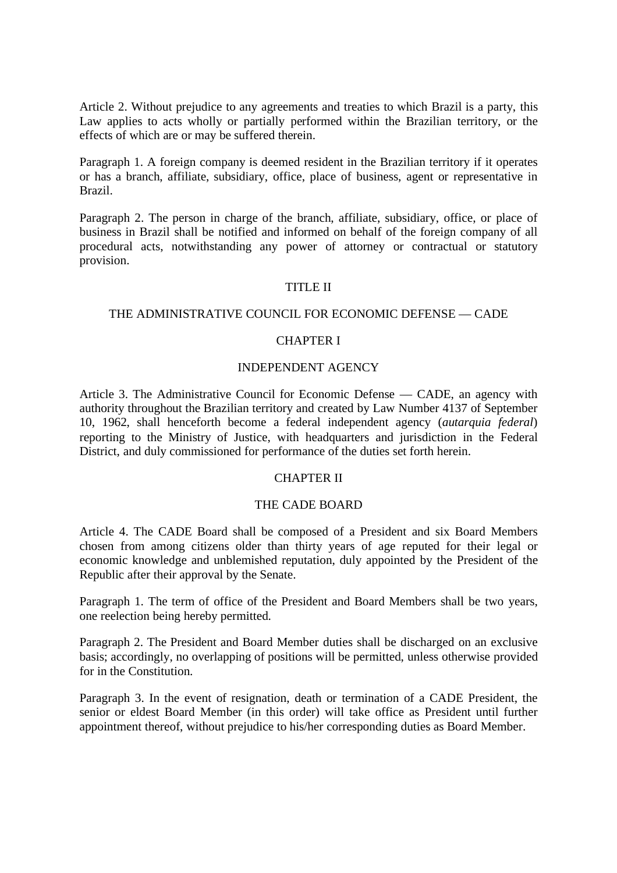Article 2. Without prejudice to any agreements and treaties to which Brazil is a party, this Law applies to acts wholly or partially performed within the Brazilian territory, or the effects of which are or may be suffered therein.

Paragraph 1. A foreign company is deemed resident in the Brazilian territory if it operates or has a branch, affiliate, subsidiary, office, place of business, agent or representative in Brazil.

Paragraph 2. The person in charge of the branch, affiliate, subsidiary, office, or place of business in Brazil shall be notified and informed on behalf of the foreign company of all procedural acts, notwithstanding any power of attorney or contractual or statutory provision.

#### TITLE II

### THE ADMINISTRATIVE COUNCIL FOR ECONOMIC DEFENSE — CADE

### CHAPTER I

#### INDEPENDENT AGENCY

Article 3. The Administrative Council for Economic Defense — CADE, an agency with authority throughout the Brazilian territory and created by Law Number 4137 of September 10, 1962, shall henceforth become a federal independent agency (*autarquia federal*) reporting to the Ministry of Justice, with headquarters and jurisdiction in the Federal District, and duly commissioned for performance of the duties set forth herein.

#### CHAPTER II

#### THE CADE BOARD

Article 4. The CADE Board shall be composed of a President and six Board Members chosen from among citizens older than thirty years of age reputed for their legal or economic knowledge and unblemished reputation, duly appointed by the President of the Republic after their approval by the Senate.

Paragraph 1. The term of office of the President and Board Members shall be two years, one reelection being hereby permitted.

Paragraph 2. The President and Board Member duties shall be discharged on an exclusive basis; accordingly, no overlapping of positions will be permitted, unless otherwise provided for in the Constitution.

Paragraph 3. In the event of resignation, death or termination of a CADE President, the senior or eldest Board Member (in this order) will take office as President until further appointment thereof, without prejudice to his/her corresponding duties as Board Member.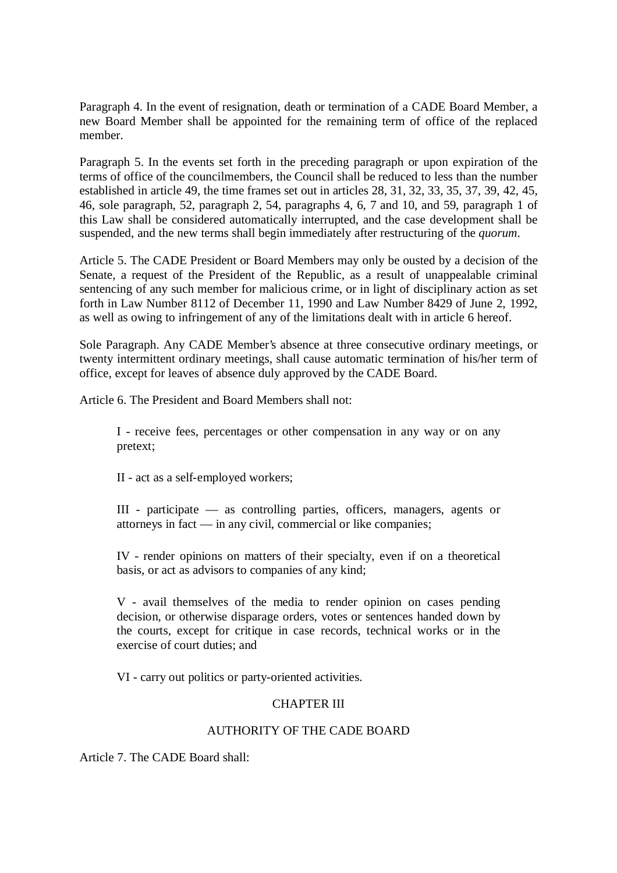Paragraph 4. In the event of resignation, death or termination of a CADE Board Member, a new Board Member shall be appointed for the remaining term of office of the replaced member.

Paragraph 5. In the events set forth in the preceding paragraph or upon expiration of the terms of office of the councilmembers, the Council shall be reduced to less than the number established in article 49, the time frames set out in articles 28, 31, 32, 33, 35, 37, 39, 42, 45, 46, sole paragraph, 52, paragraph 2, 54, paragraphs 4, 6, 7 and 10, and 59, paragraph 1 of this Law shall be considered automatically interrupted, and the case development shall be suspended, and the new terms shall begin immediately after restructuring of the *quorum*.

Article 5. The CADE President or Board Members may only be ousted by a decision of the Senate, a request of the President of the Republic, as a result of unappealable criminal sentencing of any such member for malicious crime, or in light of disciplinary action as set forth in Law Number 8112 of December 11, 1990 and Law Number 8429 of June 2, 1992, as well as owing to infringement of any of the limitations dealt with in article 6 hereof.

Sole Paragraph. Any CADE Member's absence at three consecutive ordinary meetings, or twenty intermittent ordinary meetings, shall cause automatic termination of his/her term of office, except for leaves of absence duly approved by the CADE Board.

Article 6. The President and Board Members shall not:

I - receive fees, percentages or other compensation in any way or on any pretext;

II - act as a self-employed workers;

III - participate — as controlling parties, officers, managers, agents or attorneys in fact — in any civil, commercial or like companies;

IV - render opinions on matters of their specialty, even if on a theoretical basis, or act as advisors to companies of any kind;

V - avail themselves of the media to render opinion on cases pending decision, or otherwise disparage orders, votes or sentences handed down by the courts, except for critique in case records, technical works or in the exercise of court duties; and

VI - carry out politics or party-oriented activities.

### CHAPTER III

### AUTHORITY OF THE CADE BOARD

Article 7. The CADE Board shall: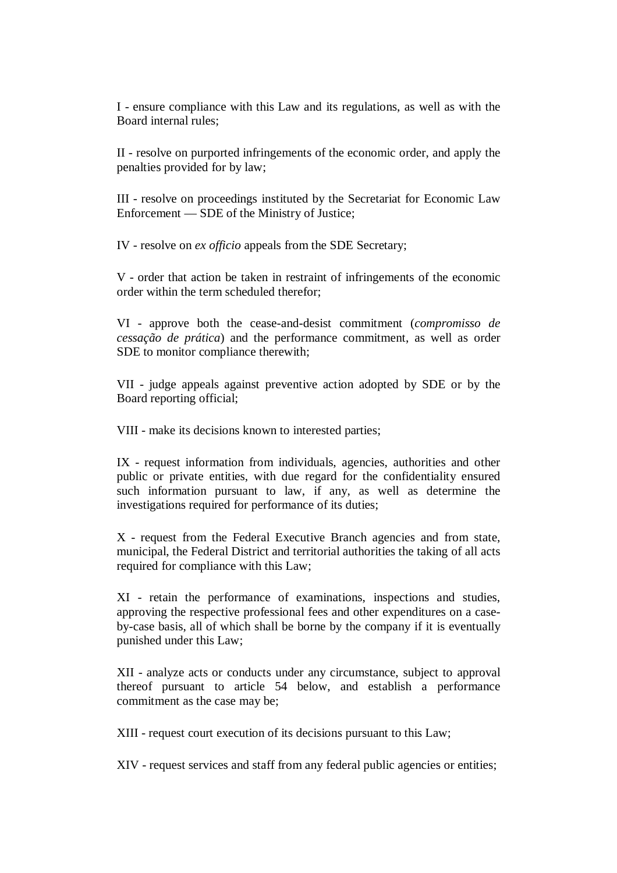I - ensure compliance with this Law and its regulations, as well as with the Board internal rules;

II - resolve on purported infringements of the economic order, and apply the penalties provided for by law;

III - resolve on proceedings instituted by the Secretariat for Economic Law Enforcement — SDE of the Ministry of Justice;

IV - resolve on *ex officio* appeals from the SDE Secretary;

V - order that action be taken in restraint of infringements of the economic order within the term scheduled therefor;

VI - approve both the cease-and-desist commitment (*compromisso de cessação de prática*) and the performance commitment, as well as order SDE to monitor compliance therewith;

VII - judge appeals against preventive action adopted by SDE or by the Board reporting official;

VIII - make its decisions known to interested parties;

IX - request information from individuals, agencies, authorities and other public or private entities, with due regard for the confidentiality ensured such information pursuant to law, if any, as well as determine the investigations required for performance of its duties;

X - request from the Federal Executive Branch agencies and from state, municipal, the Federal District and territorial authorities the taking of all acts required for compliance with this Law;

XI - retain the performance of examinations, inspections and studies, approving the respective professional fees and other expenditures on a caseby-case basis, all of which shall be borne by the company if it is eventually punished under this Law;

XII - analyze acts or conducts under any circumstance, subject to approval thereof pursuant to article 54 below, and establish a performance commitment as the case may be;

XIII - request court execution of its decisions pursuant to this Law;

XIV - request services and staff from any federal public agencies or entities;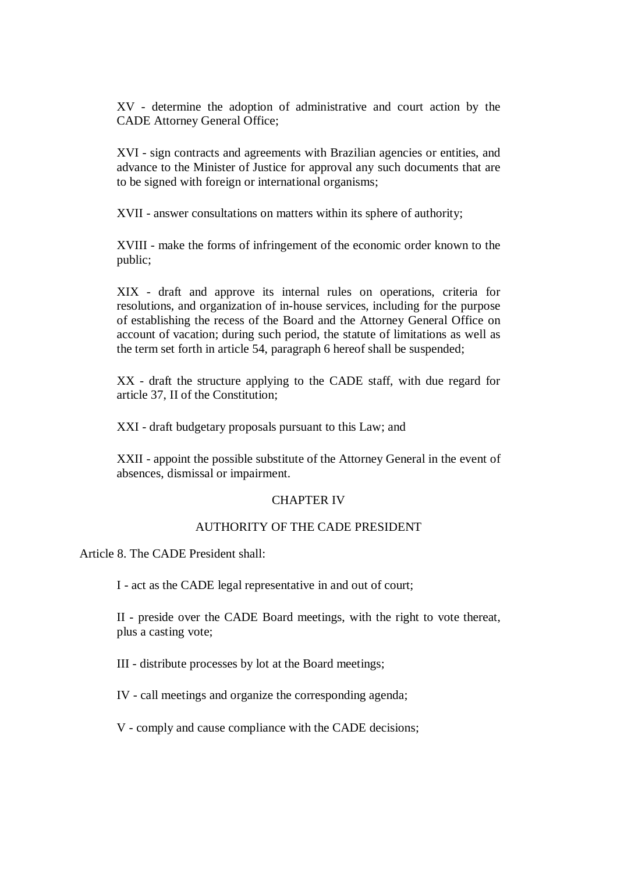XV - determine the adoption of administrative and court action by the CADE Attorney General Office;

XVI - sign contracts and agreements with Brazilian agencies or entities, and advance to the Minister of Justice for approval any such documents that are to be signed with foreign or international organisms;

XVII - answer consultations on matters within its sphere of authority;

XVIII - make the forms of infringement of the economic order known to the public;

XIX - draft and approve its internal rules on operations, criteria for resolutions, and organization of in-house services, including for the purpose of establishing the recess of the Board and the Attorney General Office on account of vacation; during such period, the statute of limitations as well as the term set forth in article 54, paragraph 6 hereof shall be suspended;

XX - draft the structure applying to the CADE staff, with due regard for article 37, II of the Constitution;

XXI - draft budgetary proposals pursuant to this Law; and

XXII - appoint the possible substitute of the Attorney General in the event of absences, dismissal or impairment.

#### CHAPTER IV

### AUTHORITY OF THE CADE PRESIDENT

Article 8. The CADE President shall:

I - act as the CADE legal representative in and out of court;

II - preside over the CADE Board meetings, with the right to vote thereat, plus a casting vote;

III - distribute processes by lot at the Board meetings;

IV - call meetings and organize the corresponding agenda;

V - comply and cause compliance with the CADE decisions;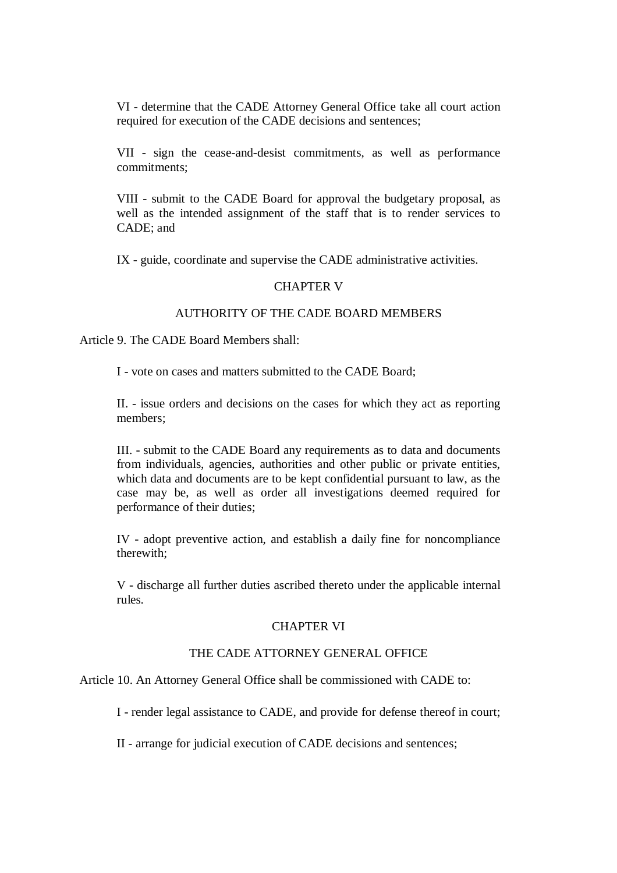VI - determine that the CADE Attorney General Office take all court action required for execution of the CADE decisions and sentences;

VII - sign the cease-and-desist commitments, as well as performance commitments;

VIII - submit to the CADE Board for approval the budgetary proposal, as well as the intended assignment of the staff that is to render services to CADE; and

IX - guide, coordinate and supervise the CADE administrative activities.

#### CHAPTER V

# AUTHORITY OF THE CADE BOARD MEMBERS

Article 9. The CADE Board Members shall:

I - vote on cases and matters submitted to the CADE Board;

II. - issue orders and decisions on the cases for which they act as reporting members;

III. - submit to the CADE Board any requirements as to data and documents from individuals, agencies, authorities and other public or private entities, which data and documents are to be kept confidential pursuant to law, as the case may be, as well as order all investigations deemed required for performance of their duties;

IV - adopt preventive action, and establish a daily fine for noncompliance therewith;

V - discharge all further duties ascribed thereto under the applicable internal rules.

#### CHAPTER VI

# THE CADE ATTORNEY GENERAL OFFICE

Article 10. An Attorney General Office shall be commissioned with CADE to:

I - render legal assistance to CADE, and provide for defense thereof in court;

II - arrange for judicial execution of CADE decisions and sentences;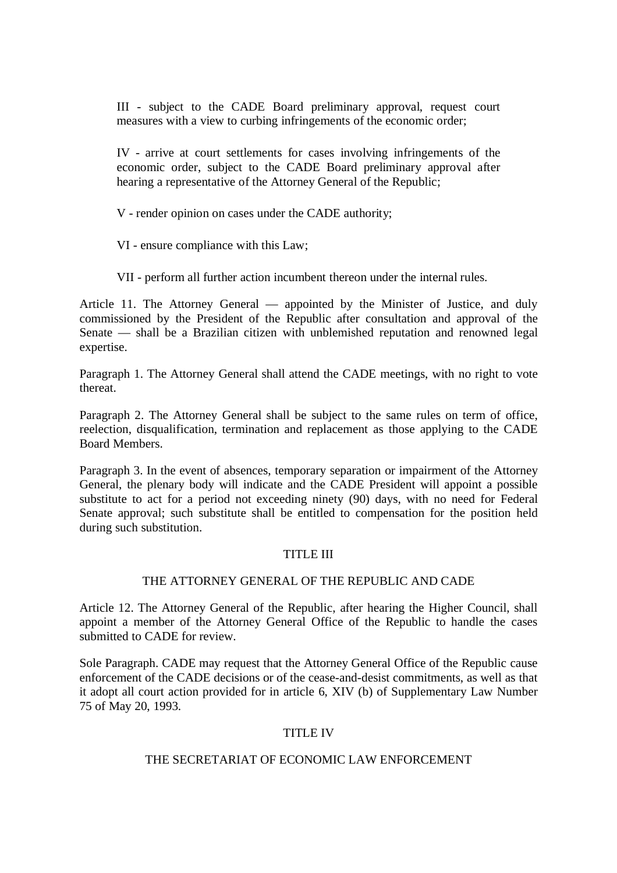III - subject to the CADE Board preliminary approval, request court measures with a view to curbing infringements of the economic order;

IV - arrive at court settlements for cases involving infringements of the economic order, subject to the CADE Board preliminary approval after hearing a representative of the Attorney General of the Republic;

V - render opinion on cases under the CADE authority;

VI - ensure compliance with this Law;

VII - perform all further action incumbent thereon under the internal rules.

Article 11. The Attorney General — appointed by the Minister of Justice, and duly commissioned by the President of the Republic after consultation and approval of the Senate — shall be a Brazilian citizen with unblemished reputation and renowned legal expertise.

Paragraph 1. The Attorney General shall attend the CADE meetings, with no right to vote thereat.

Paragraph 2. The Attorney General shall be subject to the same rules on term of office, reelection, disqualification, termination and replacement as those applying to the CADE Board Members.

Paragraph 3. In the event of absences, temporary separation or impairment of the Attorney General, the plenary body will indicate and the CADE President will appoint a possible substitute to act for a period not exceeding ninety (90) days, with no need for Federal Senate approval; such substitute shall be entitled to compensation for the position held during such substitution.

### TITLE III

#### THE ATTORNEY GENERAL OF THE REPUBLIC AND CADE

Article 12. The Attorney General of the Republic, after hearing the Higher Council, shall appoint a member of the Attorney General Office of the Republic to handle the cases submitted to CADE for review.

Sole Paragraph. CADE may request that the Attorney General Office of the Republic cause enforcement of the CADE decisions or of the cease-and-desist commitments, as well as that it adopt all court action provided for in article 6, XIV (b) of Supplementary Law Number 75 of May 20, 1993.

### TITLE IV

# THE SECRETARIAT OF ECONOMIC LAW ENFORCEMENT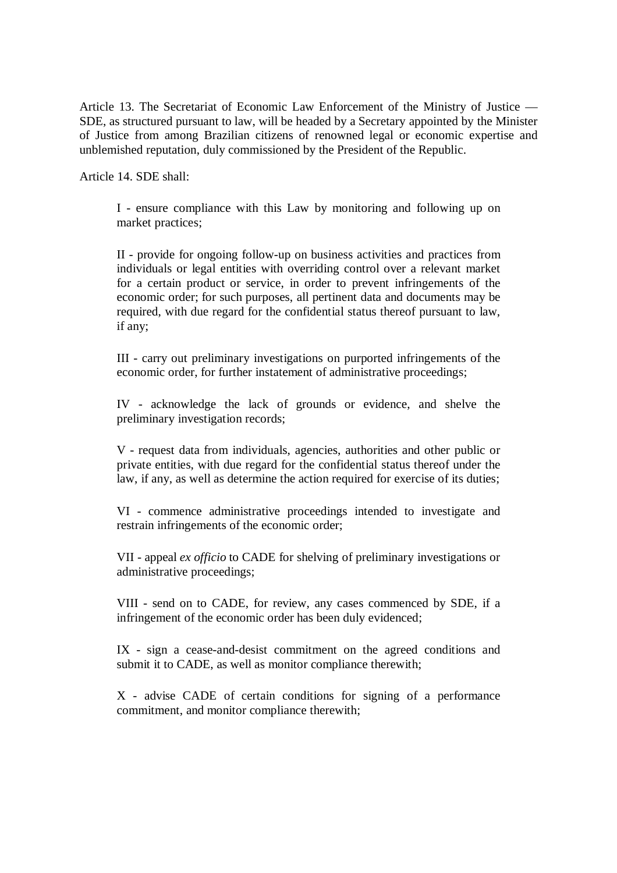Article 13. The Secretariat of Economic Law Enforcement of the Ministry of Justice — SDE, as structured pursuant to law, will be headed by a Secretary appointed by the Minister of Justice from among Brazilian citizens of renowned legal or economic expertise and unblemished reputation, duly commissioned by the President of the Republic.

Article 14. SDE shall:

I - ensure compliance with this Law by monitoring and following up on market practices;

II - provide for ongoing follow-up on business activities and practices from individuals or legal entities with overriding control over a relevant market for a certain product or service, in order to prevent infringements of the economic order; for such purposes, all pertinent data and documents may be required, with due regard for the confidential status thereof pursuant to law, if any;

III - carry out preliminary investigations on purported infringements of the economic order, for further instatement of administrative proceedings;

IV - acknowledge the lack of grounds or evidence, and shelve the preliminary investigation records;

V - request data from individuals, agencies, authorities and other public or private entities, with due regard for the confidential status thereof under the law, if any, as well as determine the action required for exercise of its duties;

VI - commence administrative proceedings intended to investigate and restrain infringements of the economic order;

VII - appeal *ex officio* to CADE for shelving of preliminary investigations or administrative proceedings;

VIII - send on to CADE, for review, any cases commenced by SDE, if a infringement of the economic order has been duly evidenced;

IX - sign a cease-and-desist commitment on the agreed conditions and submit it to CADE, as well as monitor compliance therewith;

X - advise CADE of certain conditions for signing of a performance commitment, and monitor compliance therewith;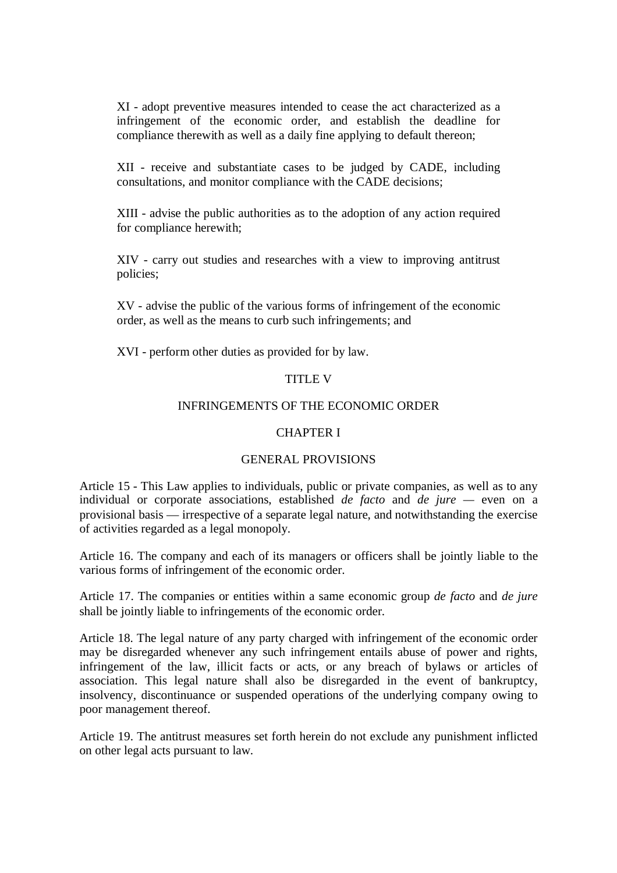XI - adopt preventive measures intended to cease the act characterized as a infringement of the economic order, and establish the deadline for compliance therewith as well as a daily fine applying to default thereon;

XII - receive and substantiate cases to be judged by CADE, including consultations, and monitor compliance with the CADE decisions;

XIII - advise the public authorities as to the adoption of any action required for compliance herewith;

XIV - carry out studies and researches with a view to improving antitrust policies;

XV - advise the public of the various forms of infringement of the economic order, as well as the means to curb such infringements; and

XVI - perform other duties as provided for by law.

#### TITLE V

### INFRINGEMENTS OF THE ECONOMIC ORDER

#### CHAPTER I

#### GENERAL PROVISIONS

Article 15 - This Law applies to individuals, public or private companies, as well as to any individual or corporate associations, established *de facto* and *de jure —* even on a provisional basis — irrespective of a separate legal nature, and notwithstanding the exercise of activities regarded as a legal monopoly.

Article 16. The company and each of its managers or officers shall be jointly liable to the various forms of infringement of the economic order.

Article 17. The companies or entities within a same economic group *de facto* and *de jure* shall be jointly liable to infringements of the economic order.

Article 18. The legal nature of any party charged with infringement of the economic order may be disregarded whenever any such infringement entails abuse of power and rights, infringement of the law, illicit facts or acts, or any breach of bylaws or articles of association. This legal nature shall also be disregarded in the event of bankruptcy, insolvency, discontinuance or suspended operations of the underlying company owing to poor management thereof.

Article 19. The antitrust measures set forth herein do not exclude any punishment inflicted on other legal acts pursuant to law.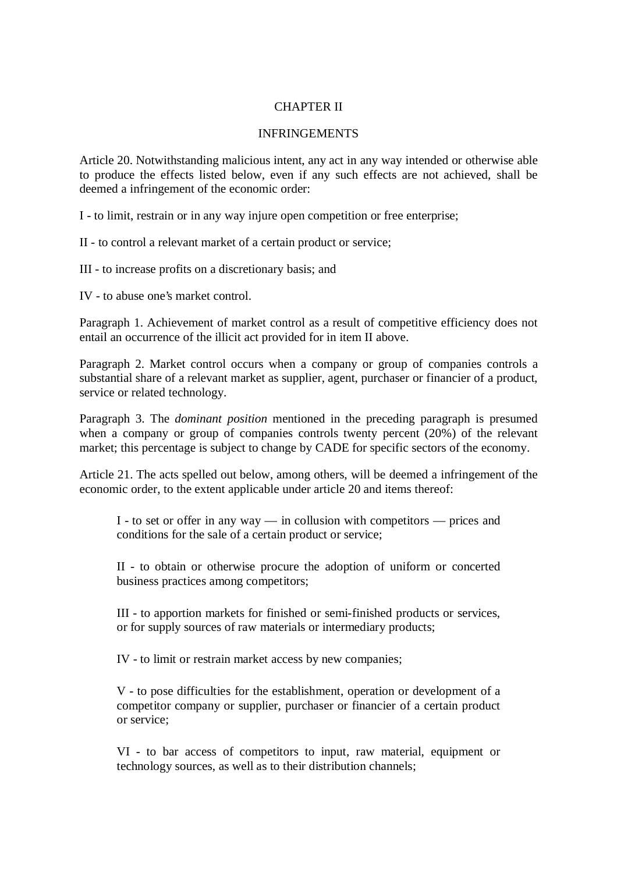# CHAPTER II

#### INFRINGEMENTS

Article 20. Notwithstanding malicious intent, any act in any way intended or otherwise able to produce the effects listed below, even if any such effects are not achieved, shall be deemed a infringement of the economic order:

I - to limit, restrain or in any way injure open competition or free enterprise;

II - to control a relevant market of a certain product or service;

III - to increase profits on a discretionary basis; and

IV - to abuse one's market control.

Paragraph 1. Achievement of market control as a result of competitive efficiency does not entail an occurrence of the illicit act provided for in item II above.

Paragraph 2. Market control occurs when a company or group of companies controls a substantial share of a relevant market as supplier, agent, purchaser or financier of a product, service or related technology.

Paragraph 3. The *dominant position* mentioned in the preceding paragraph is presumed when a company or group of companies controls twenty percent (20%) of the relevant market; this percentage is subject to change by CADE for specific sectors of the economy.

Article 21. The acts spelled out below, among others, will be deemed a infringement of the economic order, to the extent applicable under article 20 and items thereof:

I - to set or offer in any way — in collusion with competitors — prices and conditions for the sale of a certain product or service;

II - to obtain or otherwise procure the adoption of uniform or concerted business practices among competitors;

III - to apportion markets for finished or semi-finished products or services, or for supply sources of raw materials or intermediary products;

IV - to limit or restrain market access by new companies;

V - to pose difficulties for the establishment, operation or development of a competitor company or supplier, purchaser or financier of a certain product or service;

VI - to bar access of competitors to input, raw material, equipment or technology sources, as well as to their distribution channels;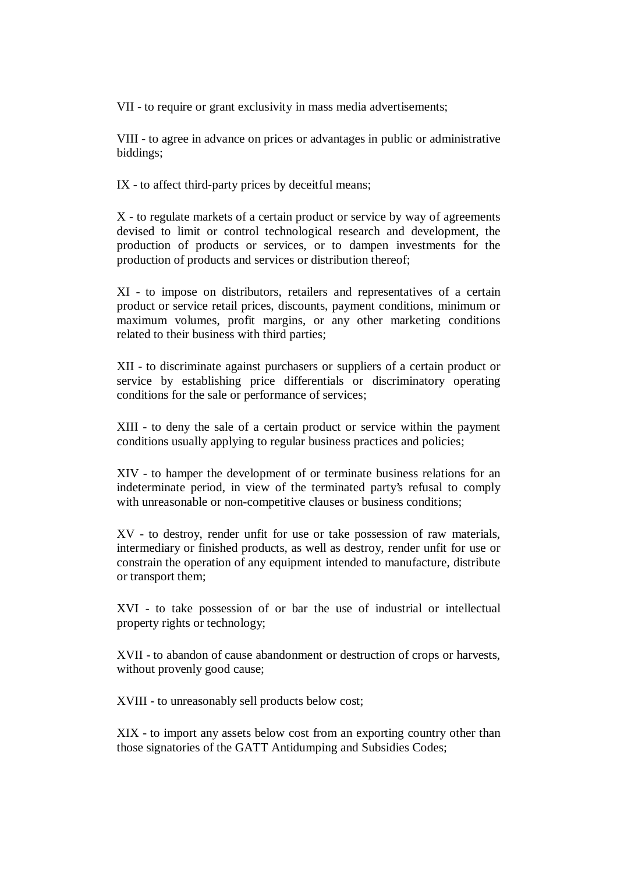VII - to require or grant exclusivity in mass media advertisements;

VIII - to agree in advance on prices or advantages in public or administrative biddings;

IX - to affect third-party prices by deceitful means;

X - to regulate markets of a certain product or service by way of agreements devised to limit or control technological research and development, the production of products or services, or to dampen investments for the production of products and services or distribution thereof;

XI - to impose on distributors, retailers and representatives of a certain product or service retail prices, discounts, payment conditions, minimum or maximum volumes, profit margins, or any other marketing conditions related to their business with third parties;

XII - to discriminate against purchasers or suppliers of a certain product or service by establishing price differentials or discriminatory operating conditions for the sale or performance of services;

XIII - to deny the sale of a certain product or service within the payment conditions usually applying to regular business practices and policies;

XIV - to hamper the development of or terminate business relations for an indeterminate period, in view of the terminated party's refusal to comply with unreasonable or non-competitive clauses or business conditions;

XV - to destroy, render unfit for use or take possession of raw materials, intermediary or finished products, as well as destroy, render unfit for use or constrain the operation of any equipment intended to manufacture, distribute or transport them;

XVI - to take possession of or bar the use of industrial or intellectual property rights or technology;

XVII - to abandon of cause abandonment or destruction of crops or harvests, without provenly good cause;

XVIII - to unreasonably sell products below cost;

XIX - to import any assets below cost from an exporting country other than those signatories of the GATT Antidumping and Subsidies Codes;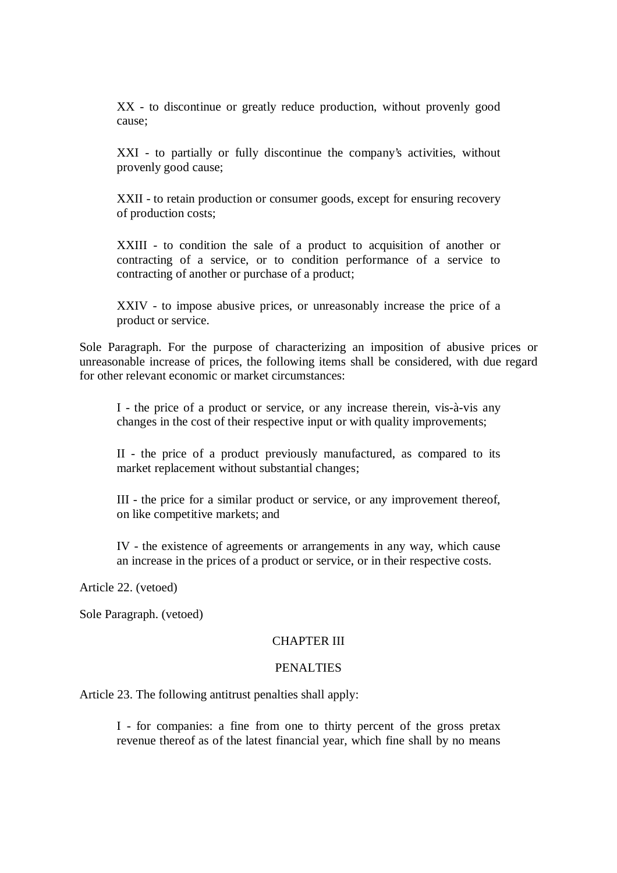XX - to discontinue or greatly reduce production, without provenly good cause;

XXI - to partially or fully discontinue the company's activities, without provenly good cause;

XXII - to retain production or consumer goods, except for ensuring recovery of production costs;

XXIII - to condition the sale of a product to acquisition of another or contracting of a service, or to condition performance of a service to contracting of another or purchase of a product;

XXIV - to impose abusive prices, or unreasonably increase the price of a product or service.

Sole Paragraph. For the purpose of characterizing an imposition of abusive prices or unreasonable increase of prices, the following items shall be considered, with due regard for other relevant economic or market circumstances:

I - the price of a product or service, or any increase therein, vis-à-vis any changes in the cost of their respective input or with quality improvements;

II - the price of a product previously manufactured, as compared to its market replacement without substantial changes;

III - the price for a similar product or service, or any improvement thereof, on like competitive markets; and

IV - the existence of agreements or arrangements in any way, which cause an increase in the prices of a product or service, or in their respective costs.

Article 22. (vetoed)

Sole Paragraph. (vetoed)

# CHAPTER III

#### PENALTIES

Article 23. The following antitrust penalties shall apply:

I - for companies: a fine from one to thirty percent of the gross pretax revenue thereof as of the latest financial year, which fine shall by no means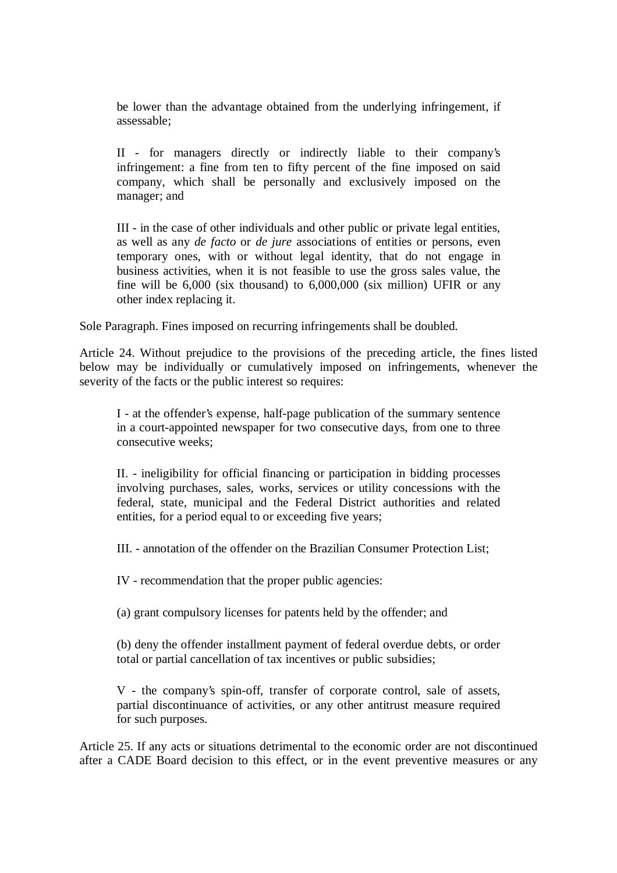be lower than the advantage obtained from the underlying infringement, if assessable;

II - for managers directly or indirectly liable to their company's infringement: a fine from ten to fifty percent of the fine imposed on said company, which shall be personally and exclusively imposed on the manager; and

III - in the case of other individuals and other public or private legal entities, as well as any *de facto* or *de jure* associations of entities or persons, even temporary ones, with or without legal identity, that do not engage in business activities, when it is not feasible to use the gross sales value, the fine will be 6,000 (six thousand) to 6,000,000 (six million) UFIR or any other index replacing it.

Sole Paragraph. Fines imposed on recurring infringements shall be doubled.

Article 24. Without prejudice to the provisions of the preceding article, the fines listed below may be individually or cumulatively imposed on infringements, whenever the severity of the facts or the public interest so requires:

I - at the offender's expense, half-page publication of the summary sentence in a court-appointed newspaper for two consecutive days, from one to three consecutive weeks;

II. - ineligibility for official financing or participation in bidding processes involving purchases, sales, works, services or utility concessions with the federal, state, municipal and the Federal District authorities and related entities, for a period equal to or exceeding five years;

III. - annotation of the offender on the Brazilian Consumer Protection List;

IV - recommendation that the proper public agencies:

(a) grant compulsory licenses for patents held by the offender; and

(b) deny the offender installment payment of federal overdue debts, or order total or partial cancellation of tax incentives or public subsidies;

V - the company's spin-off, transfer of corporate control, sale of assets, partial discontinuance of activities, or any other antitrust measure required for such purposes.

Article 25. If any acts or situations detrimental to the economic order are not discontinued after a CADE Board decision to this effect, or in the event preventive measures or any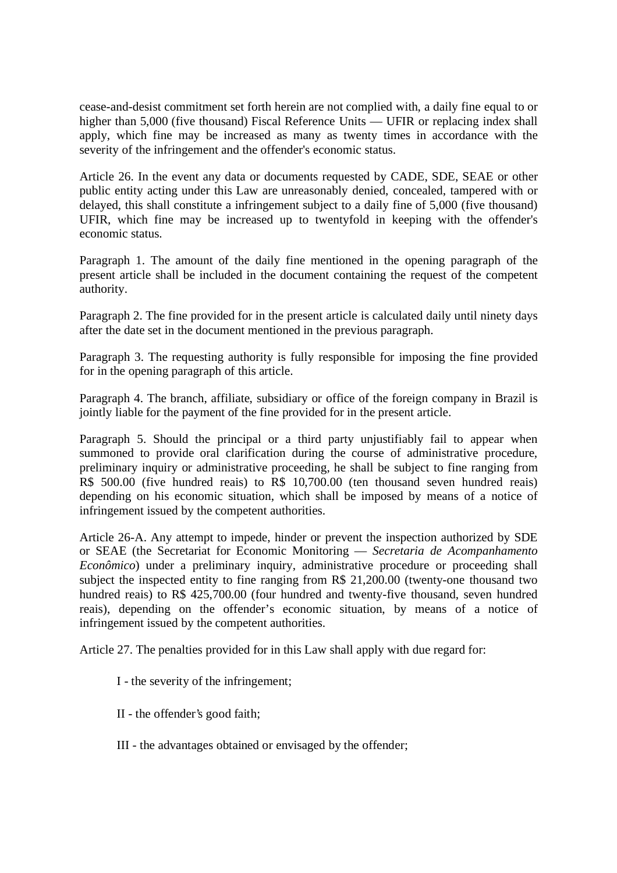cease-and-desist commitment set forth herein are not complied with, a daily fine equal to or higher than 5,000 (five thousand) Fiscal Reference Units — UFIR or replacing index shall apply, which fine may be increased as many as twenty times in accordance with the severity of the infringement and the offender's economic status.

Article 26. In the event any data or documents requested by CADE, SDE, SEAE or other public entity acting under this Law are unreasonably denied, concealed, tampered with or delayed, this shall constitute a infringement subject to a daily fine of 5,000 (five thousand) UFIR, which fine may be increased up to twentyfold in keeping with the offender's economic status.

Paragraph 1. The amount of the daily fine mentioned in the opening paragraph of the present article shall be included in the document containing the request of the competent authority.

Paragraph 2. The fine provided for in the present article is calculated daily until ninety days after the date set in the document mentioned in the previous paragraph.

Paragraph 3. The requesting authority is fully responsible for imposing the fine provided for in the opening paragraph of this article.

Paragraph 4. The branch, affiliate, subsidiary or office of the foreign company in Brazil is jointly liable for the payment of the fine provided for in the present article.

Paragraph 5. Should the principal or a third party unjustifiably fail to appear when summoned to provide oral clarification during the course of administrative procedure, preliminary inquiry or administrative proceeding, he shall be subject to fine ranging from R\$ 500.00 (five hundred reais) to R\$ 10,700.00 (ten thousand seven hundred reais) depending on his economic situation, which shall be imposed by means of a notice of infringement issued by the competent authorities.

Article 26-A. Any attempt to impede, hinder or prevent the inspection authorized by SDE or SEAE (the Secretariat for Economic Monitoring — *Secretaria de Acompanhamento Econômico*) under a preliminary inquiry, administrative procedure or proceeding shall subject the inspected entity to fine ranging from R\$ 21,200.00 (twenty-one thousand two hundred reais) to R\$ 425,700.00 (four hundred and twenty-five thousand, seven hundred reais), depending on the offender's economic situation, by means of a notice of infringement issued by the competent authorities.

Article 27. The penalties provided for in this Law shall apply with due regard for:

- I the severity of the infringement;
- II the offender's good faith;
- III the advantages obtained or envisaged by the offender;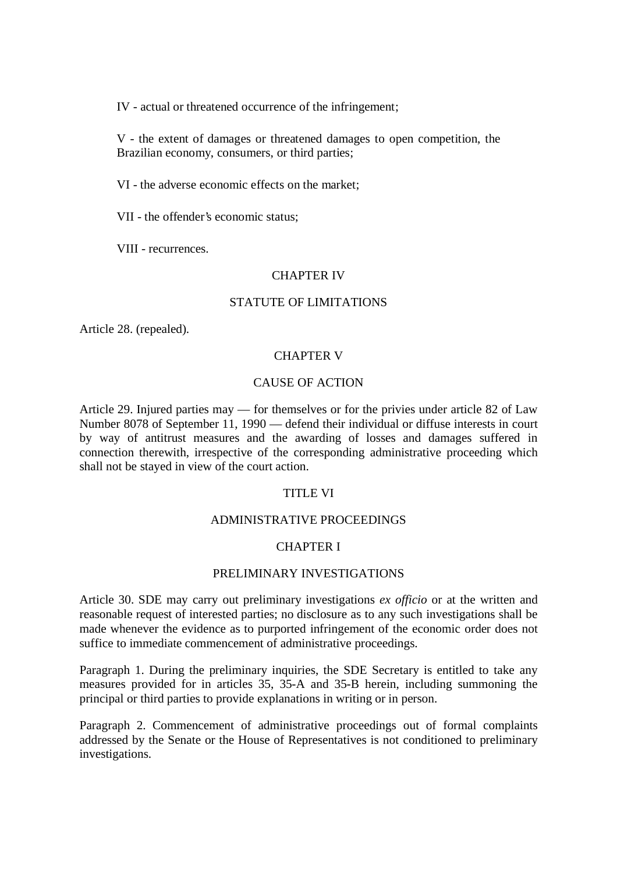IV - actual or threatened occurrence of the infringement;

V - the extent of damages or threatened damages to open competition, the Brazilian economy, consumers, or third parties;

VI - the adverse economic effects on the market;

VII - the offender's economic status;

VIII - recurrences.

#### CHAPTER IV

#### STATUTE OF LIMITATIONS

Article 28. (repealed).

### CHAPTER V

### CAUSE OF ACTION

Article 29. Injured parties may — for themselves or for the privies under article 82 of Law Number 8078 of September 11, 1990 — defend their individual or diffuse interests in court by way of antitrust measures and the awarding of losses and damages suffered in connection therewith, irrespective of the corresponding administrative proceeding which shall not be stayed in view of the court action.

#### TITLE VI

#### ADMINISTRATIVE PROCEEDINGS

#### CHAPTER I

#### PRELIMINARY INVESTIGATIONS

Article 30. SDE may carry out preliminary investigations *ex officio* or at the written and reasonable request of interested parties; no disclosure as to any such investigations shall be made whenever the evidence as to purported infringement of the economic order does not suffice to immediate commencement of administrative proceedings.

Paragraph 1. During the preliminary inquiries, the SDE Secretary is entitled to take any measures provided for in articles 35, 35-A and 35-B herein, including summoning the principal or third parties to provide explanations in writing or in person.

Paragraph 2. Commencement of administrative proceedings out of formal complaints addressed by the Senate or the House of Representatives is not conditioned to preliminary investigations.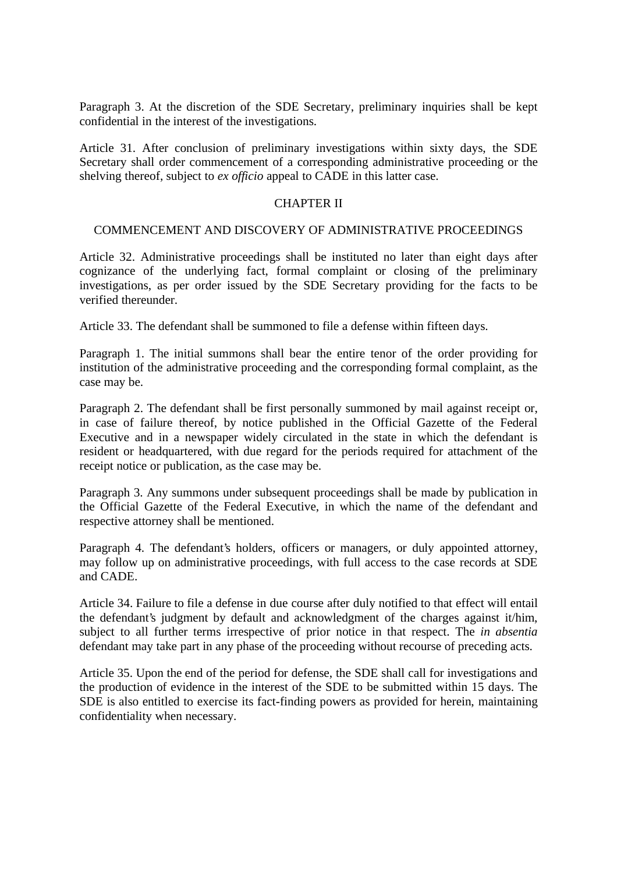Paragraph 3. At the discretion of the SDE Secretary, preliminary inquiries shall be kept confidential in the interest of the investigations.

Article 31. After conclusion of preliminary investigations within sixty days, the SDE Secretary shall order commencement of a corresponding administrative proceeding or the shelving thereof, subject to *ex officio* appeal to CADE in this latter case.

#### CHAPTER II

#### COMMENCEMENT AND DISCOVERY OF ADMINISTRATIVE PROCEEDINGS

Article 32. Administrative proceedings shall be instituted no later than eight days after cognizance of the underlying fact, formal complaint or closing of the preliminary investigations, as per order issued by the SDE Secretary providing for the facts to be verified thereunder.

Article 33. The defendant shall be summoned to file a defense within fifteen days.

Paragraph 1. The initial summons shall bear the entire tenor of the order providing for institution of the administrative proceeding and the corresponding formal complaint, as the case may be.

Paragraph 2. The defendant shall be first personally summoned by mail against receipt or, in case of failure thereof, by notice published in the Official Gazette of the Federal Executive and in a newspaper widely circulated in the state in which the defendant is resident or headquartered, with due regard for the periods required for attachment of the receipt notice or publication, as the case may be.

Paragraph 3. Any summons under subsequent proceedings shall be made by publication in the Official Gazette of the Federal Executive, in which the name of the defendant and respective attorney shall be mentioned.

Paragraph 4. The defendant's holders, officers or managers, or duly appointed attorney, may follow up on administrative proceedings, with full access to the case records at SDE and CADE.

Article 34. Failure to file a defense in due course after duly notified to that effect will entail the defendant's judgment by default and acknowledgment of the charges against it/him, subject to all further terms irrespective of prior notice in that respect. The *in absentia* defendant may take part in any phase of the proceeding without recourse of preceding acts.

Article 35. Upon the end of the period for defense, the SDE shall call for investigations and the production of evidence in the interest of the SDE to be submitted within 15 days. The SDE is also entitled to exercise its fact-finding powers as provided for herein, maintaining confidentiality when necessary.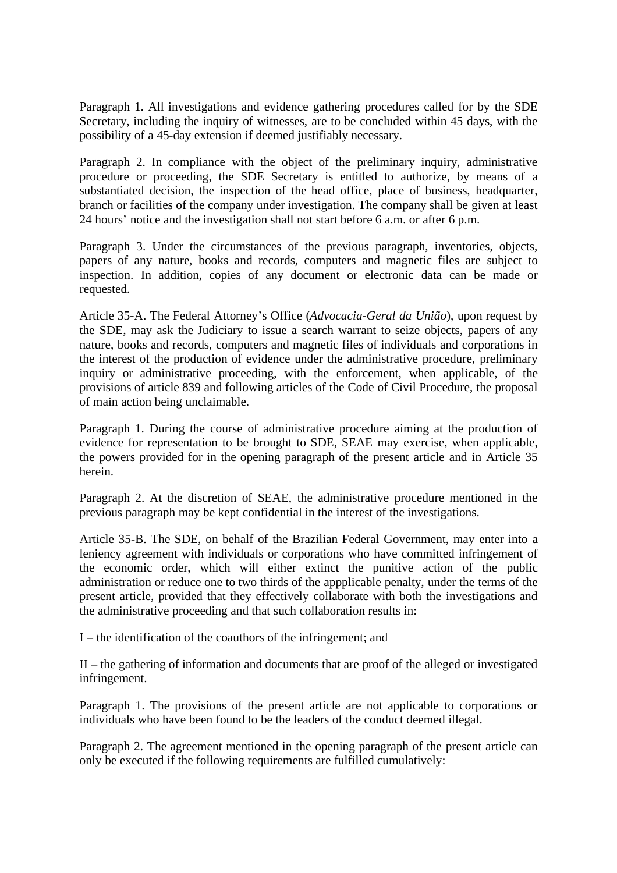Paragraph 1. All investigations and evidence gathering procedures called for by the SDE Secretary, including the inquiry of witnesses, are to be concluded within 45 days, with the possibility of a 45-day extension if deemed justifiably necessary.

Paragraph 2. In compliance with the object of the preliminary inquiry, administrative procedure or proceeding, the SDE Secretary is entitled to authorize, by means of a substantiated decision, the inspection of the head office, place of business, headquarter, branch or facilities of the company under investigation. The company shall be given at least 24 hours' notice and the investigation shall not start before 6 a.m. or after 6 p.m.

Paragraph 3. Under the circumstances of the previous paragraph, inventories, objects, papers of any nature, books and records, computers and magnetic files are subject to inspection. In addition, copies of any document or electronic data can be made or requested.

Article 35-A. The Federal Attorney's Office (*Advocacia-Geral da União*), upon request by the SDE, may ask the Judiciary to issue a search warrant to seize objects, papers of any nature, books and records, computers and magnetic files of individuals and corporations in the interest of the production of evidence under the administrative procedure, preliminary inquiry or administrative proceeding, with the enforcement, when applicable, of the provisions of article 839 and following articles of the Code of Civil Procedure, the proposal of main action being unclaimable.

Paragraph 1. During the course of administrative procedure aiming at the production of evidence for representation to be brought to SDE, SEAE may exercise, when applicable, the powers provided for in the opening paragraph of the present article and in Article 35 herein.

Paragraph 2. At the discretion of SEAE, the administrative procedure mentioned in the previous paragraph may be kept confidential in the interest of the investigations.

Article 35-B. The SDE, on behalf of the Brazilian Federal Government, may enter into a leniency agreement with individuals or corporations who have committed infringement of the economic order, which will either extinct the punitive action of the public administration or reduce one to two thirds of the appplicable penalty, under the terms of the present article, provided that they effectively collaborate with both the investigations and the administrative proceeding and that such collaboration results in:

I – the identification of the coauthors of the infringement; and

II – the gathering of information and documents that are proof of the alleged or investigated infringement.

Paragraph 1. The provisions of the present article are not applicable to corporations or individuals who have been found to be the leaders of the conduct deemed illegal.

Paragraph 2. The agreement mentioned in the opening paragraph of the present article can only be executed if the following requirements are fulfilled cumulatively: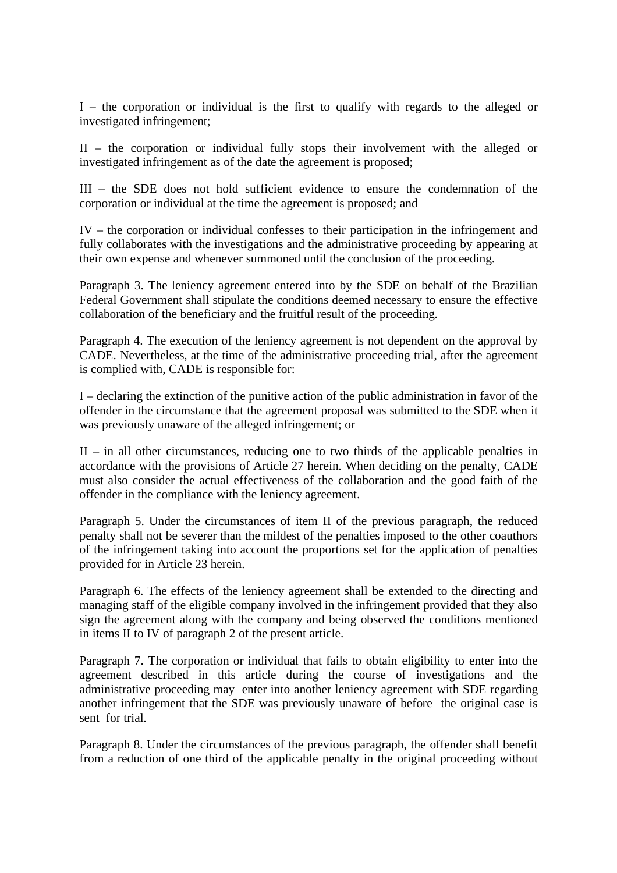I – the corporation or individual is the first to qualify with regards to the alleged or investigated infringement;

II – the corporation or individual fully stops their involvement with the alleged or investigated infringement as of the date the agreement is proposed;

III – the SDE does not hold sufficient evidence to ensure the condemnation of the corporation or individual at the time the agreement is proposed; and

IV – the corporation or individual confesses to their participation in the infringement and fully collaborates with the investigations and the administrative proceeding by appearing at their own expense and whenever summoned until the conclusion of the proceeding.

Paragraph 3. The leniency agreement entered into by the SDE on behalf of the Brazilian Federal Government shall stipulate the conditions deemed necessary to ensure the effective collaboration of the beneficiary and the fruitful result of the proceeding.

Paragraph 4. The execution of the leniency agreement is not dependent on the approval by CADE. Nevertheless, at the time of the administrative proceeding trial, after the agreement is complied with, CADE is responsible for:

I – declaring the extinction of the punitive action of the public administration in favor of the offender in the circumstance that the agreement proposal was submitted to the SDE when it was previously unaware of the alleged infringement; or

II – in all other circumstances, reducing one to two thirds of the applicable penalties in accordance with the provisions of Article 27 herein. When deciding on the penalty, CADE must also consider the actual effectiveness of the collaboration and the good faith of the offender in the compliance with the leniency agreement.

Paragraph 5. Under the circumstances of item II of the previous paragraph, the reduced penalty shall not be severer than the mildest of the penalties imposed to the other coauthors of the infringement taking into account the proportions set for the application of penalties provided for in Article 23 herein.

Paragraph 6. The effects of the leniency agreement shall be extended to the directing and managing staff of the eligible company involved in the infringement provided that they also sign the agreement along with the company and being observed the conditions mentioned in items II to IV of paragraph 2 of the present article.

Paragraph 7. The corporation or individual that fails to obtain eligibility to enter into the agreement described in this article during the course of investigations and the administrative proceeding may enter into another leniency agreement with SDE regarding another infringement that the SDE was previously unaware of before the original case is sent for trial.

Paragraph 8. Under the circumstances of the previous paragraph, the offender shall benefit from a reduction of one third of the applicable penalty in the original proceeding without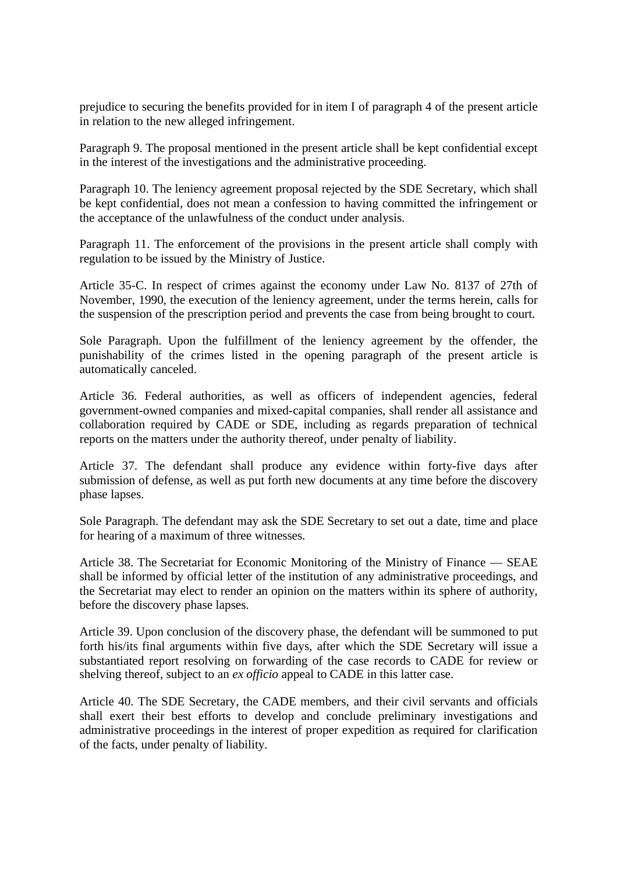prejudice to securing the benefits provided for in item I of paragraph 4 of the present article in relation to the new alleged infringement.

Paragraph 9. The proposal mentioned in the present article shall be kept confidential except in the interest of the investigations and the administrative proceeding.

Paragraph 10. The leniency agreement proposal rejected by the SDE Secretary, which shall be kept confidential, does not mean a confession to having committed the infringement or the acceptance of the unlawfulness of the conduct under analysis.

Paragraph 11. The enforcement of the provisions in the present article shall comply with regulation to be issued by the Ministry of Justice.

Article 35-C. In respect of crimes against the economy under Law No. 8137 of 27th of November, 1990, the execution of the leniency agreement, under the terms herein, calls for the suspension of the prescription period and prevents the case from being brought to court.

Sole Paragraph. Upon the fulfillment of the leniency agreement by the offender, the punishability of the crimes listed in the opening paragraph of the present article is automatically canceled.

Article 36. Federal authorities, as well as officers of independent agencies, federal government-owned companies and mixed-capital companies, shall render all assistance and collaboration required by CADE or SDE, including as regards preparation of technical reports on the matters under the authority thereof, under penalty of liability.

Article 37. The defendant shall produce any evidence within forty-five days after submission of defense, as well as put forth new documents at any time before the discovery phase lapses.

Sole Paragraph. The defendant may ask the SDE Secretary to set out a date, time and place for hearing of a maximum of three witnesses.

Article 38. The Secretariat for Economic Monitoring of the Ministry of Finance — SEAE shall be informed by official letter of the institution of any administrative proceedings, and the Secretariat may elect to render an opinion on the matters within its sphere of authority, before the discovery phase lapses.

Article 39. Upon conclusion of the discovery phase, the defendant will be summoned to put forth his/its final arguments within five days, after which the SDE Secretary will issue a substantiated report resolving on forwarding of the case records to CADE for review or shelving thereof, subject to an *ex officio* appeal to CADE in this latter case.

Article 40. The SDE Secretary, the CADE members, and their civil servants and officials shall exert their best efforts to develop and conclude preliminary investigations and administrative proceedings in the interest of proper expedition as required for clarification of the facts, under penalty of liability.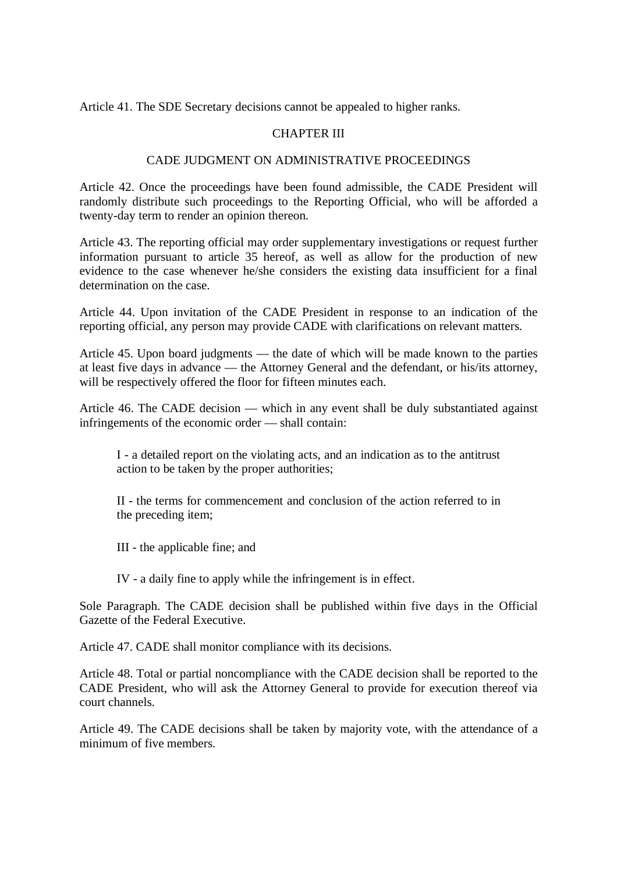Article 41. The SDE Secretary decisions cannot be appealed to higher ranks.

# CHAPTER III

### CADE JUDGMENT ON ADMINISTRATIVE PROCEEDINGS

Article 42. Once the proceedings have been found admissible, the CADE President will randomly distribute such proceedings to the Reporting Official, who will be afforded a twenty-day term to render an opinion thereon.

Article 43. The reporting official may order supplementary investigations or request further information pursuant to article 35 hereof, as well as allow for the production of new evidence to the case whenever he/she considers the existing data insufficient for a final determination on the case.

Article 44. Upon invitation of the CADE President in response to an indication of the reporting official, any person may provide CADE with clarifications on relevant matters.

Article 45. Upon board judgments — the date of which will be made known to the parties at least five days in advance — the Attorney General and the defendant, or his/its attorney, will be respectively offered the floor for fifteen minutes each.

Article 46. The CADE decision — which in any event shall be duly substantiated against infringements of the economic order — shall contain:

I - a detailed report on the violating acts, and an indication as to the antitrust action to be taken by the proper authorities;

II - the terms for commencement and conclusion of the action referred to in the preceding item;

III - the applicable fine; and

IV - a daily fine to apply while the infringement is in effect.

Sole Paragraph. The CADE decision shall be published within five days in the Official Gazette of the Federal Executive.

Article 47. CADE shall monitor compliance with its decisions.

Article 48. Total or partial noncompliance with the CADE decision shall be reported to the CADE President, who will ask the Attorney General to provide for execution thereof via court channels.

Article 49. The CADE decisions shall be taken by majority vote, with the attendance of a minimum of five members.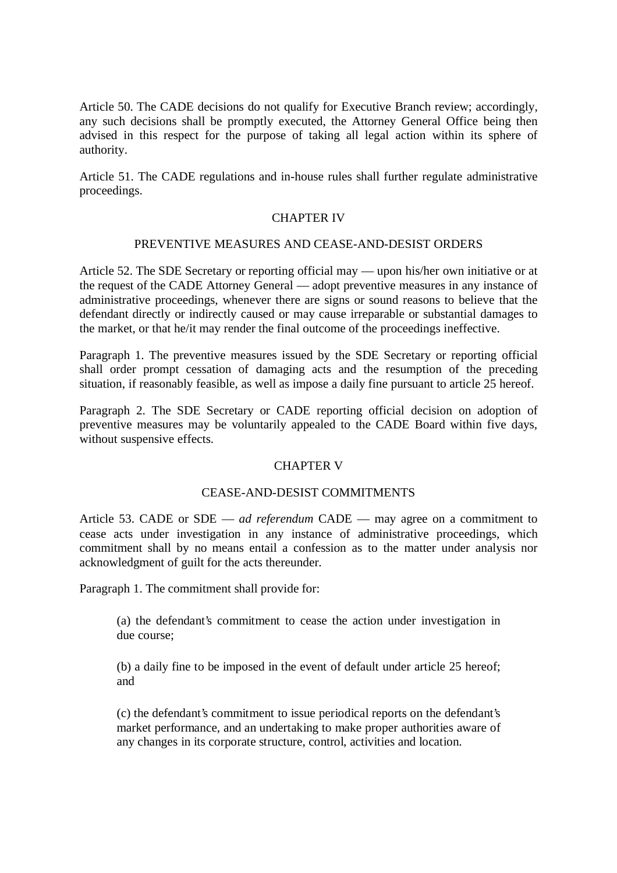Article 50. The CADE decisions do not qualify for Executive Branch review; accordingly, any such decisions shall be promptly executed, the Attorney General Office being then advised in this respect for the purpose of taking all legal action within its sphere of authority.

Article 51. The CADE regulations and in-house rules shall further regulate administrative proceedings.

### CHAPTER IV

### PREVENTIVE MEASURES AND CEASE-AND-DESIST ORDERS

Article 52. The SDE Secretary or reporting official may — upon his/her own initiative or at the request of the CADE Attorney General — adopt preventive measures in any instance of administrative proceedings, whenever there are signs or sound reasons to believe that the defendant directly or indirectly caused or may cause irreparable or substantial damages to the market, or that he/it may render the final outcome of the proceedings ineffective.

Paragraph 1. The preventive measures issued by the SDE Secretary or reporting official shall order prompt cessation of damaging acts and the resumption of the preceding situation, if reasonably feasible, as well as impose a daily fine pursuant to article 25 hereof.

Paragraph 2. The SDE Secretary or CADE reporting official decision on adoption of preventive measures may be voluntarily appealed to the CADE Board within five days, without suspensive effects.

### CHAPTER V

#### CEASE-AND-DESIST COMMITMENTS

Article 53. CADE or SDE — *ad referendum* CADE — may agree on a commitment to cease acts under investigation in any instance of administrative proceedings, which commitment shall by no means entail a confession as to the matter under analysis nor acknowledgment of guilt for the acts thereunder.

Paragraph 1. The commitment shall provide for:

(a) the defendant's commitment to cease the action under investigation in due course;

(b) a daily fine to be imposed in the event of default under article 25 hereof; and

(c) the defendant's commitment to issue periodical reports on the defendant's market performance, and an undertaking to make proper authorities aware of any changes in its corporate structure, control, activities and location.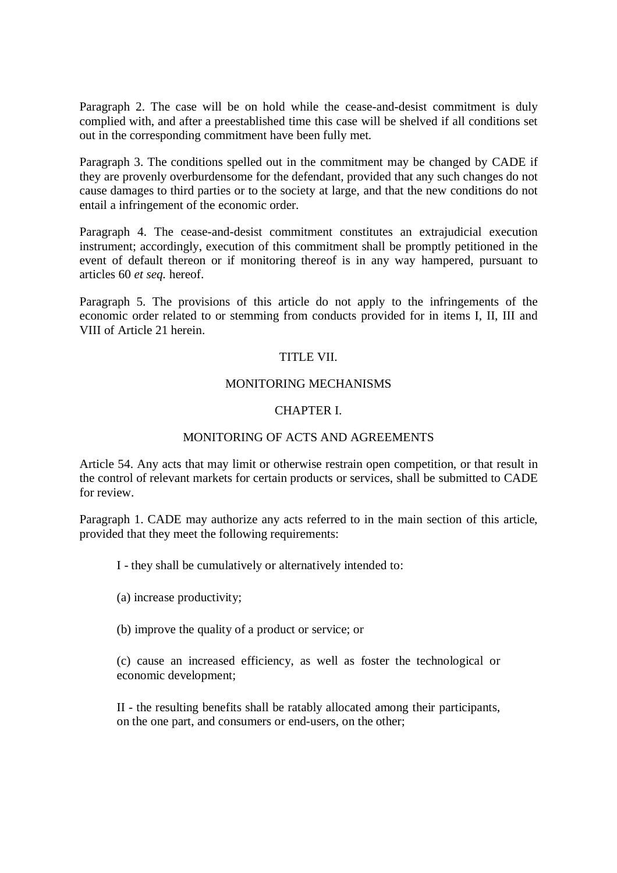Paragraph 2. The case will be on hold while the cease-and-desist commitment is duly complied with, and after a preestablished time this case will be shelved if all conditions set out in the corresponding commitment have been fully met.

Paragraph 3. The conditions spelled out in the commitment may be changed by CADE if they are provenly overburdensome for the defendant, provided that any such changes do not cause damages to third parties or to the society at large, and that the new conditions do not entail a infringement of the economic order.

Paragraph 4. The cease-and-desist commitment constitutes an extrajudicial execution instrument; accordingly, execution of this commitment shall be promptly petitioned in the event of default thereon or if monitoring thereof is in any way hampered, pursuant to articles 60 *et seq.* hereof.

Paragraph 5. The provisions of this article do not apply to the infringements of the economic order related to or stemming from conducts provided for in items I, II, III and VIII of Article 21 herein.

### TITLE VII.

### MONITORING MECHANISMS

# CHAPTER I.

# MONITORING OF ACTS AND AGREEMENTS

Article 54. Any acts that may limit or otherwise restrain open competition, or that result in the control of relevant markets for certain products or services, shall be submitted to CADE for review.

Paragraph 1. CADE may authorize any acts referred to in the main section of this article, provided that they meet the following requirements:

I - they shall be cumulatively or alternatively intended to:

(a) increase productivity;

(b) improve the quality of a product or service; or

(c) cause an increased efficiency, as well as foster the technological or economic development;

II - the resulting benefits shall be ratably allocated among their participants, on the one part, and consumers or end-users, on the other;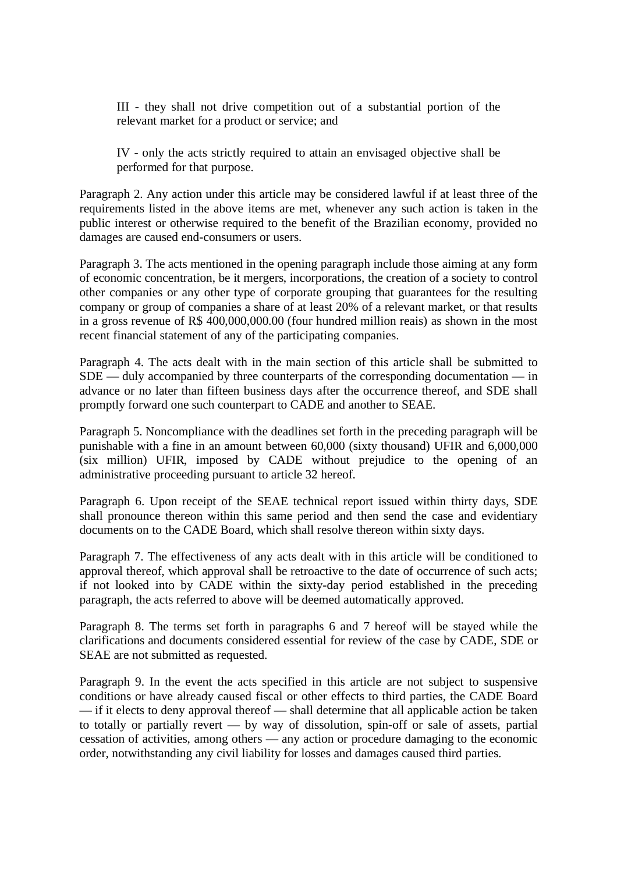III - they shall not drive competition out of a substantial portion of the relevant market for a product or service; and

IV - only the acts strictly required to attain an envisaged objective shall be performed for that purpose.

Paragraph 2. Any action under this article may be considered lawful if at least three of the requirements listed in the above items are met, whenever any such action is taken in the public interest or otherwise required to the benefit of the Brazilian economy, provided no damages are caused end-consumers or users.

Paragraph 3. The acts mentioned in the opening paragraph include those aiming at any form of economic concentration, be it mergers, incorporations, the creation of a society to control other companies or any other type of corporate grouping that guarantees for the resulting company or group of companies a share of at least 20% of a relevant market, or that results in a gross revenue of R\$ 400,000,000.00 (four hundred million reais) as shown in the most recent financial statement of any of the participating companies.

Paragraph 4. The acts dealt with in the main section of this article shall be submitted to SDE — duly accompanied by three counterparts of the corresponding documentation — in advance or no later than fifteen business days after the occurrence thereof, and SDE shall promptly forward one such counterpart to CADE and another to SEAE.

Paragraph 5. Noncompliance with the deadlines set forth in the preceding paragraph will be punishable with a fine in an amount between 60,000 (sixty thousand) UFIR and 6,000,000 (six million) UFIR, imposed by CADE without prejudice to the opening of an administrative proceeding pursuant to article 32 hereof.

Paragraph 6. Upon receipt of the SEAE technical report issued within thirty days, SDE shall pronounce thereon within this same period and then send the case and evidentiary documents on to the CADE Board, which shall resolve thereon within sixty days.

Paragraph 7. The effectiveness of any acts dealt with in this article will be conditioned to approval thereof, which approval shall be retroactive to the date of occurrence of such acts; if not looked into by CADE within the sixty-day period established in the preceding paragraph, the acts referred to above will be deemed automatically approved.

Paragraph 8. The terms set forth in paragraphs 6 and 7 hereof will be stayed while the clarifications and documents considered essential for review of the case by CADE, SDE or SEAE are not submitted as requested.

Paragraph 9. In the event the acts specified in this article are not subject to suspensive conditions or have already caused fiscal or other effects to third parties, the CADE Board — if it elects to deny approval thereof — shall determine that all applicable action be taken to totally or partially revert — by way of dissolution, spin-off or sale of assets, partial cessation of activities, among others — any action or procedure damaging to the economic order, notwithstanding any civil liability for losses and damages caused third parties.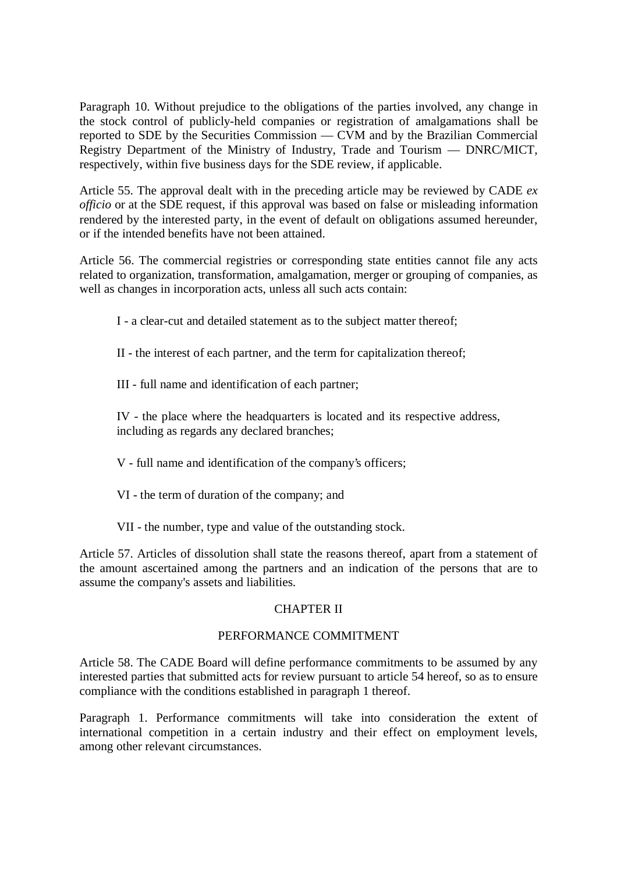Paragraph 10. Without prejudice to the obligations of the parties involved, any change in the stock control of publicly-held companies or registration of amalgamations shall be reported to SDE by the Securities Commission — CVM and by the Brazilian Commercial Registry Department of the Ministry of Industry, Trade and Tourism — DNRC/MICT, respectively, within five business days for the SDE review, if applicable.

Article 55. The approval dealt with in the preceding article may be reviewed by CADE *ex officio* or at the SDE request, if this approval was based on false or misleading information rendered by the interested party, in the event of default on obligations assumed hereunder, or if the intended benefits have not been attained.

Article 56. The commercial registries or corresponding state entities cannot file any acts related to organization, transformation, amalgamation, merger or grouping of companies, as well as changes in incorporation acts, unless all such acts contain:

I - a clear-cut and detailed statement as to the subject matter thereof;

II - the interest of each partner, and the term for capitalization thereof;

III - full name and identification of each partner;

IV - the place where the headquarters is located and its respective address, including as regards any declared branches;

V - full name and identification of the company's officers;

- VI the term of duration of the company; and
- VII the number, type and value of the outstanding stock.

Article 57. Articles of dissolution shall state the reasons thereof, apart from a statement of the amount ascertained among the partners and an indication of the persons that are to assume the company's assets and liabilities.

# CHAPTER II

### PERFORMANCE COMMITMENT

Article 58. The CADE Board will define performance commitments to be assumed by any interested parties that submitted acts for review pursuant to article 54 hereof, so as to ensure compliance with the conditions established in paragraph 1 thereof.

Paragraph 1. Performance commitments will take into consideration the extent of international competition in a certain industry and their effect on employment levels, among other relevant circumstances.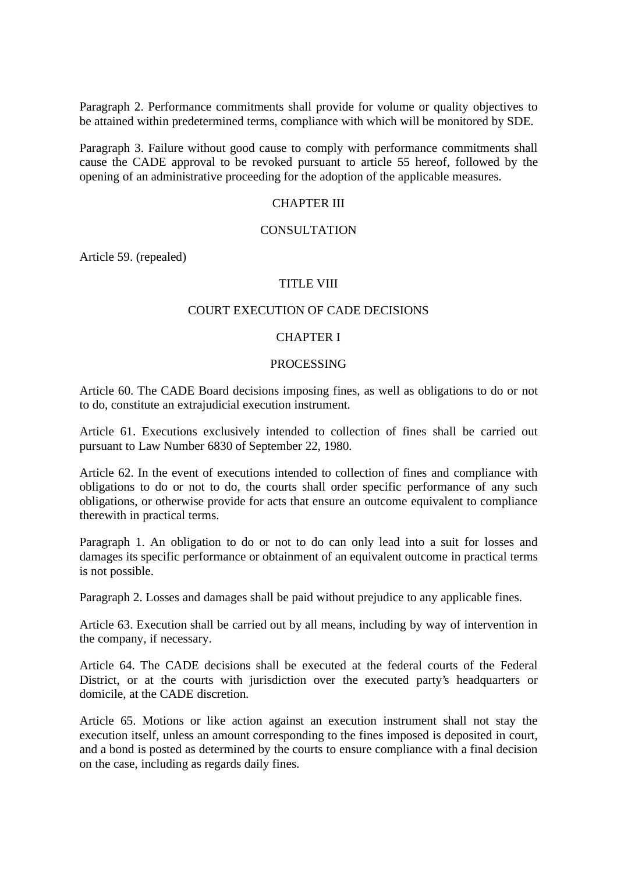Paragraph 2. Performance commitments shall provide for volume or quality objectives to be attained within predetermined terms, compliance with which will be monitored by SDE.

Paragraph 3. Failure without good cause to comply with performance commitments shall cause the CADE approval to be revoked pursuant to article 55 hereof, followed by the opening of an administrative proceeding for the adoption of the applicable measures.

#### CHAPTER III

#### CONSULTATION

Article 59. (repealed)

# TITLE VIII

#### COURT EXECUTION OF CADE DECISIONS

#### CHAPTER I

#### PROCESSING

Article 60. The CADE Board decisions imposing fines, as well as obligations to do or not to do, constitute an extrajudicial execution instrument.

Article 61. Executions exclusively intended to collection of fines shall be carried out pursuant to Law Number 6830 of September 22, 1980.

Article 62. In the event of executions intended to collection of fines and compliance with obligations to do or not to do, the courts shall order specific performance of any such obligations, or otherwise provide for acts that ensure an outcome equivalent to compliance therewith in practical terms.

Paragraph 1. An obligation to do or not to do can only lead into a suit for losses and damages its specific performance or obtainment of an equivalent outcome in practical terms is not possible.

Paragraph 2. Losses and damages shall be paid without prejudice to any applicable fines.

Article 63. Execution shall be carried out by all means, including by way of intervention in the company, if necessary.

Article 64. The CADE decisions shall be executed at the federal courts of the Federal District, or at the courts with jurisdiction over the executed party's headquarters or domicile, at the CADE discretion.

Article 65. Motions or like action against an execution instrument shall not stay the execution itself, unless an amount corresponding to the fines imposed is deposited in court, and a bond is posted as determined by the courts to ensure compliance with a final decision on the case, including as regards daily fines.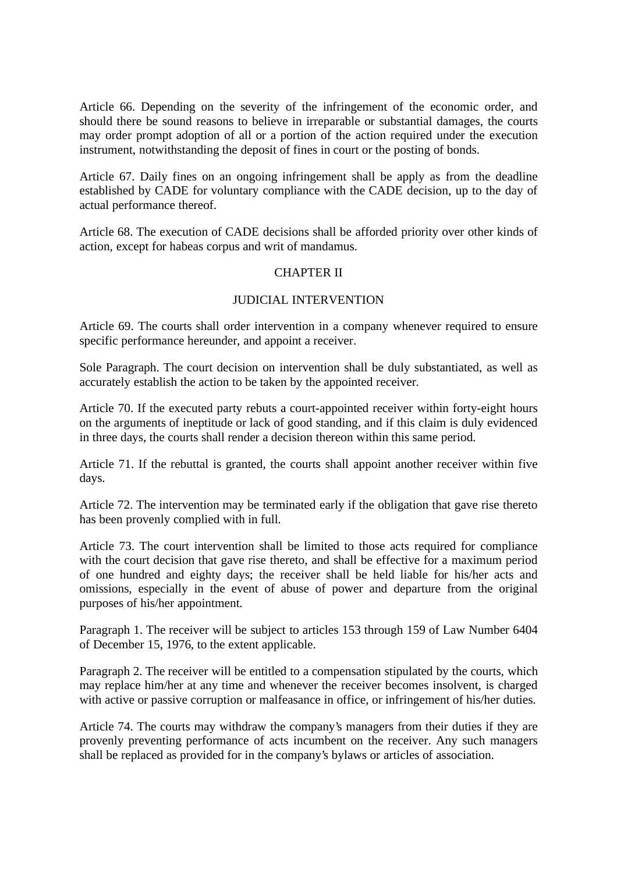Article 66. Depending on the severity of the infringement of the economic order, and should there be sound reasons to believe in irreparable or substantial damages, the courts may order prompt adoption of all or a portion of the action required under the execution instrument, notwithstanding the deposit of fines in court or the posting of bonds.

Article 67. Daily fines on an ongoing infringement shall be apply as from the deadline established by CADE for voluntary compliance with the CADE decision, up to the day of actual performance thereof.

Article 68. The execution of CADE decisions shall be afforded priority over other kinds of action, except for habeas corpus and writ of mandamus.

### CHAPTER II

#### JUDICIAL INTERVENTION

Article 69. The courts shall order intervention in a company whenever required to ensure specific performance hereunder, and appoint a receiver.

Sole Paragraph. The court decision on intervention shall be duly substantiated, as well as accurately establish the action to be taken by the appointed receiver.

Article 70. If the executed party rebuts a court-appointed receiver within forty-eight hours on the arguments of ineptitude or lack of good standing, and if this claim is duly evidenced in three days, the courts shall render a decision thereon within this same period.

Article 71. If the rebuttal is granted, the courts shall appoint another receiver within five days.

Article 72. The intervention may be terminated early if the obligation that gave rise thereto has been provenly complied with in full.

Article 73. The court intervention shall be limited to those acts required for compliance with the court decision that gave rise thereto, and shall be effective for a maximum period of one hundred and eighty days; the receiver shall be held liable for his/her acts and omissions, especially in the event of abuse of power and departure from the original purposes of his/her appointment.

Paragraph 1. The receiver will be subject to articles 153 through 159 of Law Number 6404 of December 15, 1976, to the extent applicable.

Paragraph 2. The receiver will be entitled to a compensation stipulated by the courts, which may replace him/her at any time and whenever the receiver becomes insolvent, is charged with active or passive corruption or malfeasance in office, or infringement of his/her duties.

Article 74. The courts may withdraw the company's managers from their duties if they are provenly preventing performance of acts incumbent on the receiver. Any such managers shall be replaced as provided for in the company's bylaws or articles of association.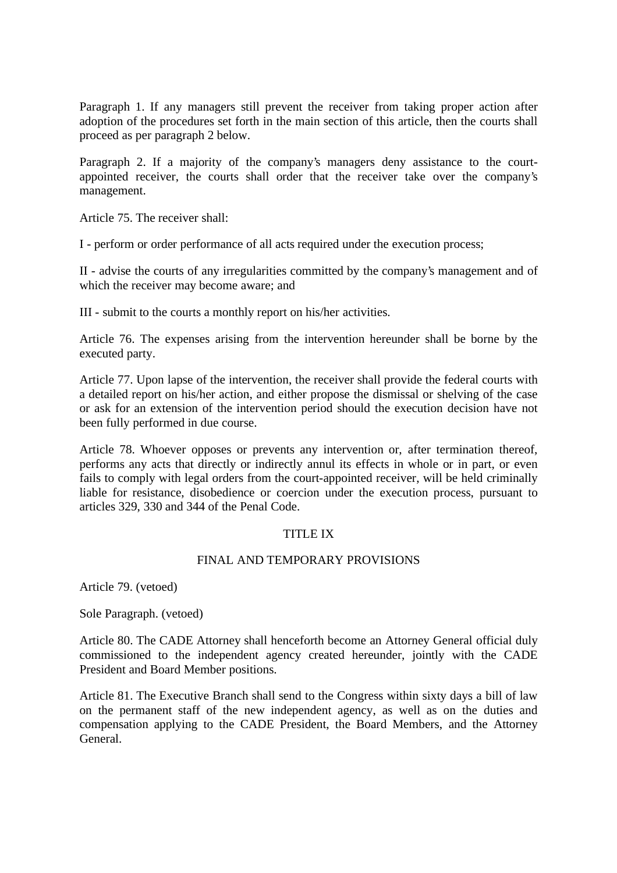Paragraph 1. If any managers still prevent the receiver from taking proper action after adoption of the procedures set forth in the main section of this article, then the courts shall proceed as per paragraph 2 below.

Paragraph 2. If a majority of the company's managers deny assistance to the courtappointed receiver, the courts shall order that the receiver take over the company's management.

Article 75. The receiver shall:

I - perform or order performance of all acts required under the execution process;

II - advise the courts of any irregularities committed by the company's management and of which the receiver may become aware; and

III - submit to the courts a monthly report on his/her activities.

Article 76. The expenses arising from the intervention hereunder shall be borne by the executed party.

Article 77. Upon lapse of the intervention, the receiver shall provide the federal courts with a detailed report on his/her action, and either propose the dismissal or shelving of the case or ask for an extension of the intervention period should the execution decision have not been fully performed in due course.

Article 78. Whoever opposes or prevents any intervention or, after termination thereof, performs any acts that directly or indirectly annul its effects in whole or in part, or even fails to comply with legal orders from the court-appointed receiver, will be held criminally liable for resistance, disobedience or coercion under the execution process, pursuant to articles 329, 330 and 344 of the Penal Code.

### TITLE IX

#### FINAL AND TEMPORARY PROVISIONS

Article 79. (vetoed)

Sole Paragraph. (vetoed)

Article 80. The CADE Attorney shall henceforth become an Attorney General official duly commissioned to the independent agency created hereunder, jointly with the CADE President and Board Member positions.

Article 81. The Executive Branch shall send to the Congress within sixty days a bill of law on the permanent staff of the new independent agency, as well as on the duties and compensation applying to the CADE President, the Board Members, and the Attorney General.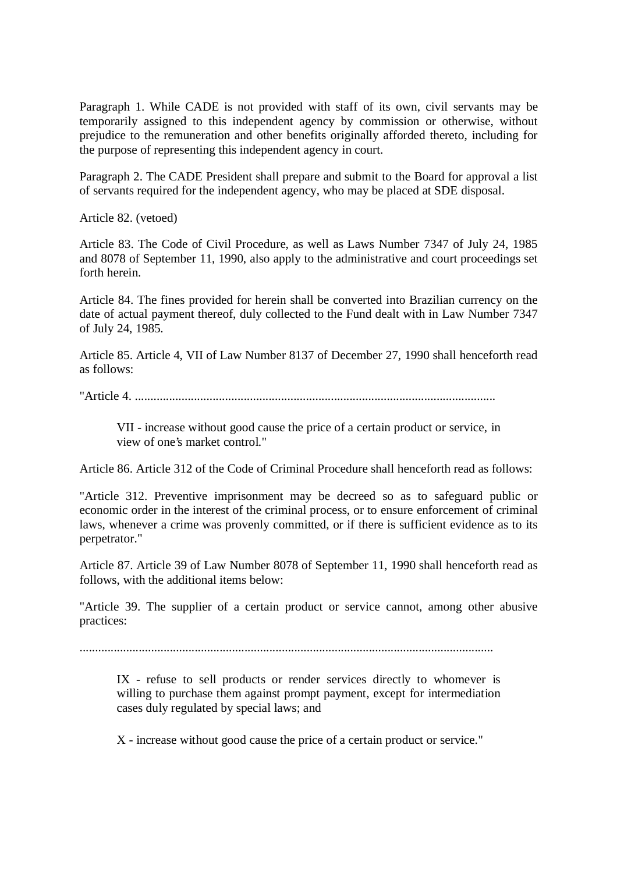Paragraph 1. While CADE is not provided with staff of its own, civil servants may be temporarily assigned to this independent agency by commission or otherwise, without prejudice to the remuneration and other benefits originally afforded thereto, including for the purpose of representing this independent agency in court.

Paragraph 2. The CADE President shall prepare and submit to the Board for approval a list of servants required for the independent agency, who may be placed at SDE disposal.

Article 82. (vetoed)

Article 83. The Code of Civil Procedure, as well as Laws Number 7347 of July 24, 1985 and 8078 of September 11, 1990, also apply to the administrative and court proceedings set forth herein.

Article 84. The fines provided for herein shall be converted into Brazilian currency on the date of actual payment thereof, duly collected to the Fund dealt with in Law Number 7347 of July 24, 1985.

Article 85. Article 4, VII of Law Number 8137 of December 27, 1990 shall henceforth read as follows:

"Article 4. ....................................................................................................................

VII - increase without good cause the price of a certain product or service, in view of one's market control."

Article 86. Article 312 of the Code of Criminal Procedure shall henceforth read as follows:

"Article 312. Preventive imprisonment may be decreed so as to safeguard public or economic order in the interest of the criminal process, or to ensure enforcement of criminal laws, whenever a crime was provenly committed, or if there is sufficient evidence as to its perpetrator."

Article 87. Article 39 of Law Number 8078 of September 11, 1990 shall henceforth read as follows, with the additional items below:

"Article 39. The supplier of a certain product or service cannot, among other abusive practices:

.....................................................................................................................................

IX - refuse to sell products or render services directly to whomever is willing to purchase them against prompt payment, except for intermediation cases duly regulated by special laws; and

X - increase without good cause the price of a certain product or service."